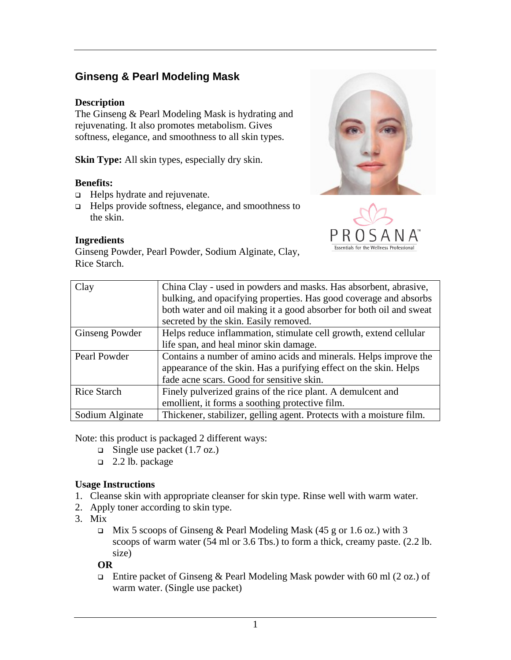# **Ginseng & Pearl Modeling Mask**

### **Description**

The Ginseng & Pearl Modeling Mask is hydrating and rejuvenating. It also promotes metabolism. Gives softness, elegance, and smoothness to all skin types.

**Skin Type:** All skin types, especially dry skin.

### **Benefits:**

- □ Helps hydrate and rejuvenate.
- Helps provide softness, elegance, and smoothness to the skin.

### **Ingredients**

Ginseng Powder, Pearl Powder, Sodium Alginate, Clay, Rice Starch.





| Clay               | China Clay - used in powders and masks. Has absorbent, abrasive,     |
|--------------------|----------------------------------------------------------------------|
|                    | bulking, and opacifying properties. Has good coverage and absorbs    |
|                    | both water and oil making it a good absorber for both oil and sweat  |
|                    | secreted by the skin. Easily removed.                                |
| Ginseng Powder     | Helps reduce inflammation, stimulate cell growth, extend cellular    |
|                    | life span, and heal minor skin damage.                               |
| Pearl Powder       | Contains a number of amino acids and minerals. Helps improve the     |
|                    | appearance of the skin. Has a purifying effect on the skin. Helps    |
|                    | fade acne scars. Good for sensitive skin.                            |
| <b>Rice Starch</b> | Finely pulverized grains of the rice plant. A demulcent and          |
|                    | emollient, it forms a soothing protective film.                      |
| Sodium Alginate    | Thickener, stabilizer, gelling agent. Protects with a moisture film. |

Note: this product is packaged 2 different ways:

- $\Box$  Single use packet (1.7 oz.)
- $\Box$  2.2 lb. package

## **Usage Instructions**

- 1. Cleanse skin with appropriate cleanser for skin type. Rinse well with warm water.
- 2. Apply toner according to skin type.
- 3. Mix
	- $\Box$  Mix 5 scoops of Ginseng & Pearl Modeling Mask (45 g or 1.6 oz.) with 3 scoops of warm water (54 ml or 3.6 Tbs.) to form a thick, creamy paste. (2.2 lb. size)

#### **OR**

**Entire packet of Ginseng & Pearl Modeling Mask powder with 60 ml (2 oz.) of** warm water. (Single use packet)